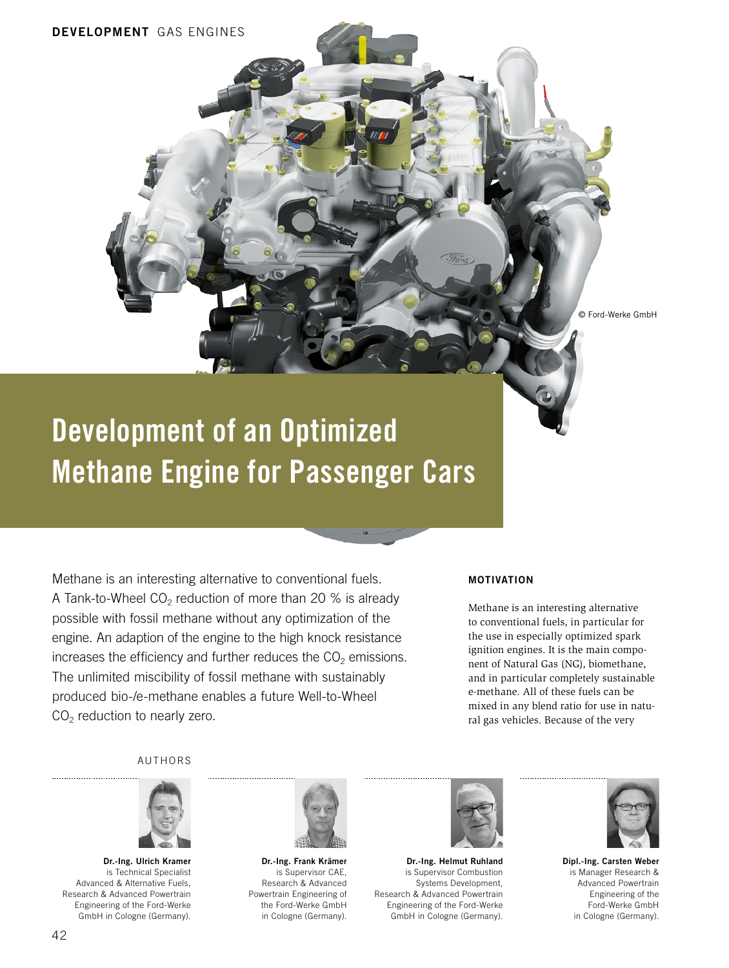© Ford-Werke GmbH

# Development of an Optimized Methane Engine for Passenger Cars

Methane is an interesting alternative to conventional fuels. A Tank-to-Wheel  $CO<sub>2</sub>$  reduction of more than 20 % is already possible with fossil methane without any optimization of the engine. An adaption of the engine to the high knock resistance increases the efficiency and further reduces the  $CO<sub>2</sub>$  emissions. The unlimited miscibility of fossil methane with sustainably produced bio-/e-methane enables a future Well-to-Wheel  $CO<sub>2</sub>$  reduction to nearly zero.

#### MOTIVATION

Methane is an interesting alternative to conventional fuels, in particular for the use in especially optimized spark ignition engines. It is the main component of Natural Gas (NG), biomethane, and in particular completely sustainable e-methane. All of these fuels can be mixed in any blend ratio for use in natural gas vehicles. Because of the very

AUTHORS



Dr.-Ing. Ulrich Kramer is Technical Specialist Advanced & Alternative Fuels, Research & Advanced Powertrain Engineering of the Ford-Werke GmbH in Cologne (Germany).



Dr.-Ing. Frank Krämer is Supervisor CAE, Research & Advanced Powertrain Engineering of the Ford-Werke GmbH in Cologne (Germany).



Dr.-Ing. Helmut Ruhland is Supervisor Combustion Systems Development, Research & Advanced Powertrain Engineering of the Ford-Werke GmbH in Cologne (Germany).



Dipl.-Ing. Carsten Weber is Manager Research & Advanced Powertrain Engineering of the Ford-Werke GmbH in Cologne (Germany).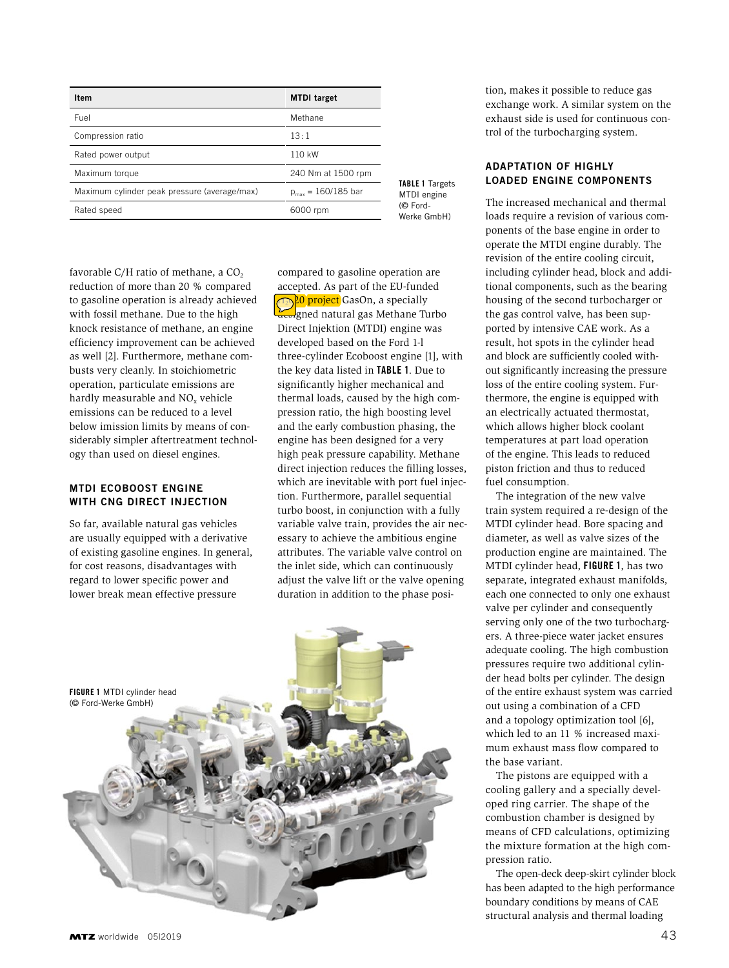| Item                                         | <b>MTDI</b> target      |
|----------------------------------------------|-------------------------|
| Fuel                                         | Methane                 |
| Compression ratio                            | 13:1                    |
| Rated power output                           | 110 kW                  |
| Maximum torque                               | 240 Nm at 1500 rpm      |
| Maximum cylinder peak pressure (average/max) | $p_{max} = 160/185$ bar |
| Rated speed                                  | 6000 rpm                |

favorable C/H ratio of methane, a  $CO<sub>2</sub>$ reduction of more than 20 % compared to gasoline operation is already achieved with fossil methane. Due to the high knock resistance of methane, an engine efficiency improvement can be achieved as well [2]. Furthermore, methane combusts very cleanly. In stoichiometric operation, particulate emissions are hardly measurable and NO<sub>v</sub> vehicle emissions can be reduced to a level below imission limits by means of considerably simpler aftertreatment technology than used on diesel engines.

#### MTDI ECOBOOST ENGINE WITH CNG DIRECT INJECTION

So far, available natural gas vehicles are usually equipped with a derivative of existing gasoline engines. In general, for cost reasons, disadvantages with regard to lower specific power and lower break mean effective pressure

compared to gasoline operation are accepted. As part of the EU-funded 20 project GasOn, a specially designed natural gas Methane Turbo Direct Injektion (MTDI) engine was developed based on the Ford 1-l three-cylinder Ecoboost engine [1], with the key data listed in TABLE 1. Due to significantly higher mechanical and thermal loads, caused by the high compression ratio, the high boosting level and the early combustion phasing, the engine has been designed for a very high peak pressure capability. Methane direct injection reduces the filling losses, which are inevitable with port fuel injection. Furthermore, parallel sequential turbo boost, in conjunction with a fully variable valve train, provides the air necessary to achieve the ambitious engine attributes. The variable valve control on the inlet side, which can continuously adjust the valve lift or the valve opening duration in addition to the phase posi-



tion, makes it possible to reduce gas exchange work. A similar system on the exhaust side is used for continuous control of the turbocharging system.

### ADAPTATION OF HIGHLY LOADED ENGINE COMPONENTS

The increased mechanical and thermal loads require a revision of various components of the base engine in order to operate the MTDI engine durably. The revision of the entire cooling circuit, including cylinder head, block and additional components, such as the bearing housing of the second turbocharger or the gas control valve, has been supported by intensive CAE work. As a result, hot spots in the cylinder head and block are sufficiently cooled without significantly increasing the pressure loss of the entire cooling system. Furthermore, the engine is equipped with an electrically actuated thermostat, which allows higher block coolant temperatures at part load operation of the engine. This leads to reduced piston friction and thus to reduced fuel consumption.

The integration of the new valve train system required a re-design of the MTDI cylinder head. Bore spacing and diameter, as well as valve sizes of the production engine are maintained. The MTDI cylinder head, FIGURE 1, has two separate, integrated exhaust manifolds, each one connected to only one exhaust valve per cylinder and consequently serving only one of the two turbochargers. A three-piece water jacket ensures adequate cooling. The high combustion pressures require two additional cylinder head bolts per cylinder. The design of the entire exhaust system was carried out using a combination of a CFD and a topology optimization tool [6], which led to an 11 % increased maximum exhaust mass flow compared to the base variant.

The pistons are equipped with a cooling gallery and a specially developed ring carrier. The shape of the combustion chamber is designed by means of CFD calculations, optimizing the mixture formation at the high compression ratio.

The open-deck deep-skirt cylinder block has been adapted to the high performance boundary conditions by means of CAE structural analysis and thermal loading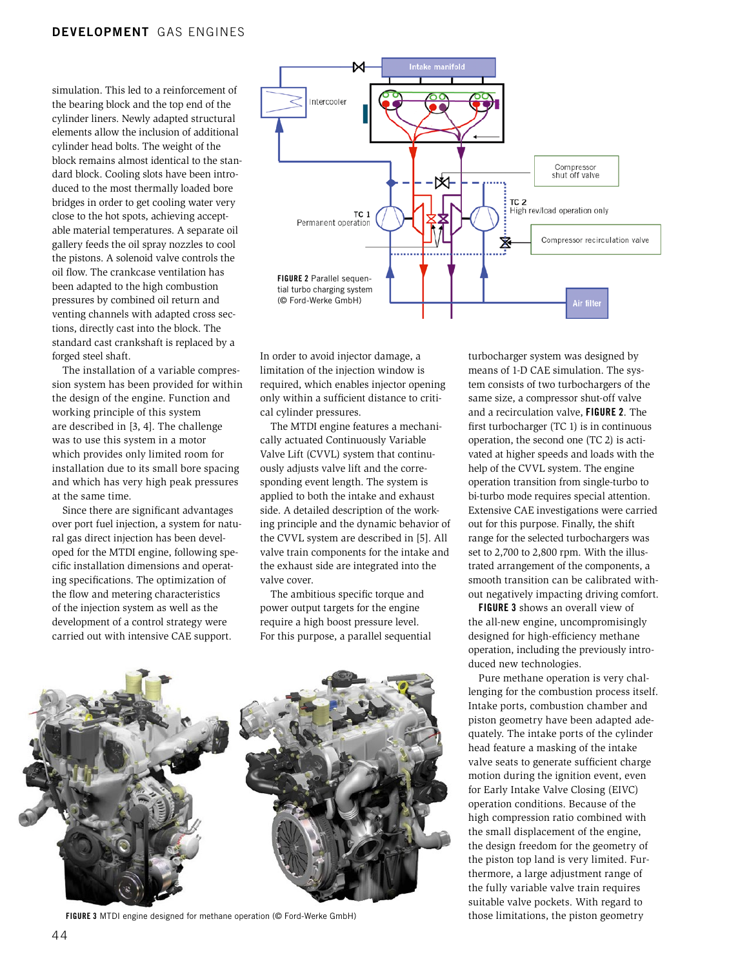simulation. This led to a reinforcement of the bearing block and the top end of the cylinder liners. Newly adapted structural elements allow the inclusion of additional cylinder head bolts. The weight of the block remains almost identical to the standard block. Cooling slots have been introduced to the most thermally loaded bore bridges in order to get cooling water very close to the hot spots, achieving acceptable material temperatures. A separate oil gallery feeds the oil spray nozzles to cool the pistons. A solenoid valve controls the oil flow. The crankcase ventilation has been adapted to the high combustion pressures by combined oil return and venting channels with adapted cross sections, directly cast into the block. The standard cast crankshaft is replaced by a forged steel shaft.

The installation of a variable compression system has been provided for within the design of the engine. Function and working principle of this system are described in [3, 4]. The challenge was to use this system in a motor which provides only limited room for installation due to its small bore spacing and which has very high peak pressures at the same time.

Since there are significant advantages over port fuel injection, a system for natural gas direct injection has been developed for the MTDI engine, following specific installation dimensions and operating specifications. The optimization of the flow and metering characteristics of the injection system as well as the development of a control strategy were carried out with intensive CAE support.



In order to avoid injector damage, a limitation of the injection window is required, which enables injector opening only within a sufficient distance to critical cylinder pressures.

The MTDI engine features a mechanically actuated Continuously Variable Valve Lift (CVVL) system that continuously adjusts valve lift and the corresponding event length. The system is applied to both the intake and exhaust side. A detailed description of the working principle and the dynamic behavior of the CVVL system are described in [5]. All valve train components for the intake and the exhaust side are integrated into the valve cover.

The ambitious specific torque and power output targets for the engine require a high boost pressure level. For this purpose, a parallel sequential



FIGURE 3 MTDI engine designed for methane operation (@ Ford-Werke GmbH) those limitations, the piston geometry

turbocharger system was designed by means of 1-D CAE simulation. The system consists of two turbochargers of the same size, a compressor shut-off valve and a recirculation valve, FIGURE 2. The first turbocharger (TC 1) is in continuous operation, the second one (TC 2) is activated at higher speeds and loads with the help of the CVVL system. The engine operation transition from single-turbo to bi-turbo mode requires special attention. Extensive CAE investigations were carried out for this purpose. Finally, the shift range for the selected turbochargers was set to 2,700 to 2,800 rpm. With the illustrated arrangement of the components, a smooth transition can be calibrated without negatively impacting driving comfort.

FIGURE 3 shows an overall view of the all-new engine, uncompromisingly designed for high-efficiency methane operation, including the previously introduced new technologies.

Pure methane operation is very challenging for the combustion process itself. Intake ports, combustion chamber and piston geometry have been adapted adequately. The intake ports of the cylinder head feature a masking of the intake valve seats to generate sufficient charge motion during the ignition event, even for Early Intake Valve Closing (EIVC) operation conditions. Because of the high compression ratio combined with the small displacement of the engine, the design freedom for the geometry of the piston top land is very limited. Furthermore, a large adjustment range of the fully variable valve train requires suitable valve pockets. With regard to